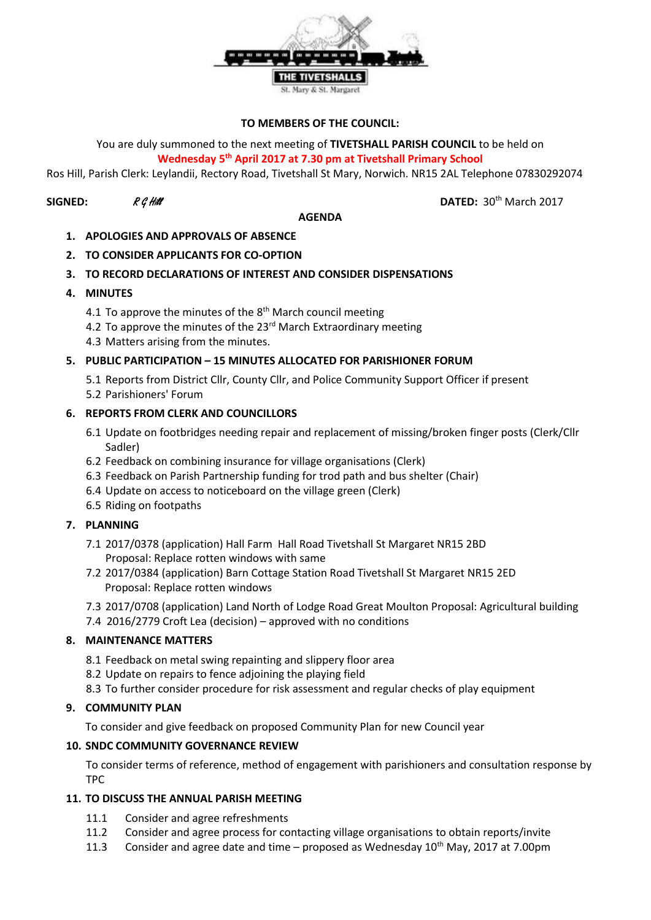

#### **TO MEMBERS OF THE COUNCIL:**

You are duly summoned to the next meeting of **TIVETSHALL PARISH COUNCIL** to be held on **Wednesday 5 th April 2017 at 7.30 pm at Tivetshall Primary School**

Ros Hill, Parish Clerk: Leylandii, Rectory Road, Tivetshall St Mary, Norwich. NR15 2AL Telephone 07830292074

#### **AGENDA**

**SIGNED:**  $R \mathcal{G}$  Hill **DATED:** 30<sup>th</sup> March 2017

- **1. APOLOGIES AND APPROVALS OF ABSENCE**
- **2. TO CONSIDER APPLICANTS FOR CO-OPTION**
- **3. TO RECORD DECLARATIONS OF INTEREST AND CONSIDER DISPENSATIONS**
- **4. MINUTES**
	- 4.1 To approve the minutes of the 8<sup>th</sup> March council meeting
	- 4.2 To approve the minutes of the 23<sup>rd</sup> March Extraordinary meeting
	- 4.3 Matters arising from the minutes.

#### **5. PUBLIC PARTICIPATION – 15 MINUTES ALLOCATED FOR PARISHIONER FORUM**

5.1 Reports from District Cllr, County Cllr, and Police Community Support Officer if present 5.2 Parishioners' Forum

#### **6. REPORTS FROM CLERK AND COUNCILLORS**

- 6.1 Update on footbridges needing repair and replacement of missing/broken finger posts (Clerk/Cllr Sadler)
- 6.2 Feedback on combining insurance for village organisations (Clerk)
- 6.3 Feedback on Parish Partnership funding for trod path and bus shelter (Chair)
- 6.4 Update on access to noticeboard on the village green (Clerk)
- 6.5 Riding on footpaths

#### **7. PLANNING**

- 7.1 2017/0378 (application) Hall Farm Hall Road Tivetshall St Margaret NR15 2BD Proposal: Replace rotten windows with same
- 7.2 2017/0384 (application) Barn Cottage Station Road Tivetshall St Margaret NR15 2ED Proposal: Replace rotten windows
- 7.3 2017/0708 (application) Land North of Lodge Road Great Moulton Proposal: Agricultural building
- 7.4 2016/2779 Croft Lea (decision) approved with no conditions

#### **8. MAINTENANCE MATTERS**

- 8.1 Feedback on metal swing repainting and slippery floor area
- 8.2 Update on repairs to fence adjoining the playing field
- 8.3 To further consider procedure for risk assessment and regular checks of play equipment

#### **9. COMMUNITY PLAN**

To consider and give feedback on proposed Community Plan for new Council year

#### **10. SNDC COMMUNITY GOVERNANCE REVIEW**

To consider terms of reference, method of engagement with parishioners and consultation response by TPC

# **11. TO DISCUSS THE ANNUAL PARISH MEETING**

- 11.1 Consider and agree refreshments
- 11.2 Consider and agree process for contacting village organisations to obtain reports/invite
- 11.3 Consider and agree date and time proposed as Wednesday  $10^{th}$  May, 2017 at 7.00pm